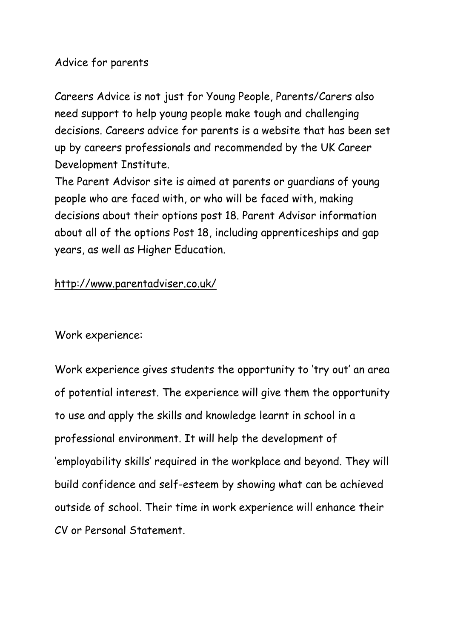### Advice for parents

Careers Advice is not just for Young People, Parents/Carers also need support to help young people make tough and challenging decisions. Careers advice for parents is a website that has been set up by careers professionals and recommended by the UK Career Development Institute.

The Parent Advisor site is aimed at parents or guardians of young people who are faced with, or who will be faced with, making decisions about their options post 18. Parent Advisor information about all of the options Post 18, including apprenticeships and gap years, as well as Higher Education.

### <http://www.parentadviser.co.uk/>

Work experience:

Work experience gives students the opportunity to 'try out' an area of potential interest. The experience will give them the opportunity to use and apply the skills and knowledge learnt in school in a professional environment. It will help the development of 'employability skills' required in the workplace and beyond. They will build confidence and self-esteem by showing what can be achieved outside of school. Their time in work experience will enhance their CV or Personal Statement.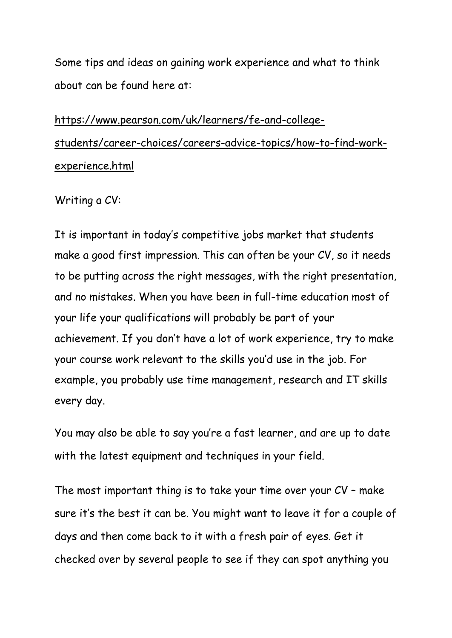Some tips and ideas on gaining work experience and what to think about can be found here at:

# [https://www.pearson.com/uk/learners/fe-and-college](https://www.pearson.com/uk/learners/fe-and-college-students/career-choices/careers-advice-topics/how-to-find-work-experience.html)[students/career-choices/careers-advice-topics/how-to-find-work](https://www.pearson.com/uk/learners/fe-and-college-students/career-choices/careers-advice-topics/how-to-find-work-experience.html)[experience.html](https://www.pearson.com/uk/learners/fe-and-college-students/career-choices/careers-advice-topics/how-to-find-work-experience.html)

#### Writing a CV:

It is important in today's competitive jobs market that students make a good first impression. This can often be your CV, so it needs to be putting across the right messages, with the right presentation, and no mistakes. When you have been in full-time education most of your life your qualifications will probably be part of your achievement. If you don't have a lot of work experience, try to make your course work relevant to the skills you'd use in the job. For example, you probably use time management, research and IT skills every day.

You may also be able to say you're a fast learner, and are up to date with the latest equipment and techniques in your field.

The most important thing is to take your time over your CV – make sure it's the best it can be. You might want to leave it for a couple of days and then come back to it with a fresh pair of eyes. Get it checked over by several people to see if they can spot anything you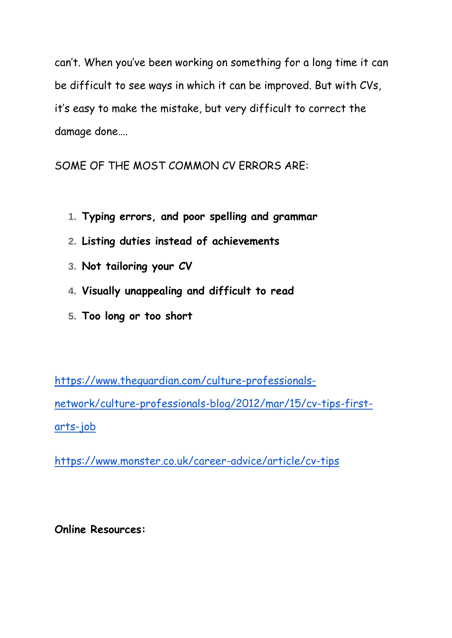can't. When you've been working on something for a long time it can be difficult to see ways in which it can be improved. But with CVs, it's easy to make the mistake, but very difficult to correct the damage done….

SOME OF THE MOST COMMON CV ERRORS ARE:

- **1. Typing errors, and poor spelling and grammar**
- **2. Listing duties instead of achievements**
- **3. Not tailoring your CV**
- **4. Visually unappealing and difficult to read**
- **5. Too long or too short**

[https://www.theguardian.com/culture-professionals](https://www.theguardian.com/culture-professionals-network/culture-professionals-blog/2012/mar/15/cv-tips-first-arts-job)[network/culture-professionals-blog/2012/mar/15/cv-tips-first](https://www.theguardian.com/culture-professionals-network/culture-professionals-blog/2012/mar/15/cv-tips-first-arts-job)[arts-job](https://www.theguardian.com/culture-professionals-network/culture-professionals-blog/2012/mar/15/cv-tips-first-arts-job)

<https://www.monster.co.uk/career-advice/article/cv-tips>

**Online Resources:**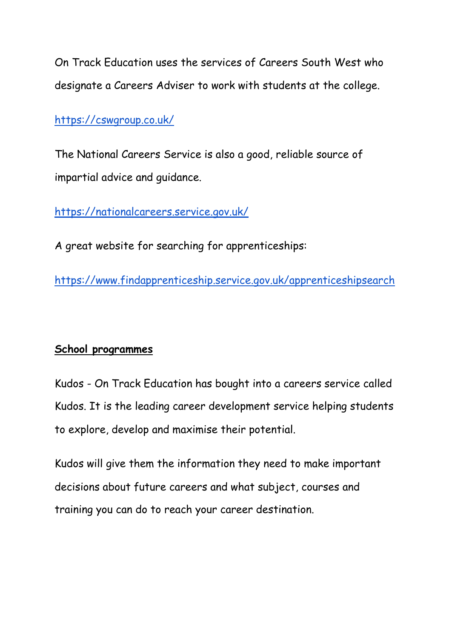On Track Education uses the services of Careers South West who designate a Careers Adviser to work with students at the college.

<https://cswgroup.co.uk/>

The National Careers Service is also a good, reliable source of impartial advice and guidance.

<https://nationalcareers.service.gov.uk/>

A great website for searching for apprenticeships:

<https://www.findapprenticeship.service.gov.uk/apprenticeshipsearch>

## **School programmes**

Kudos - On Track Education has bought into a careers service called Kudos. It is the leading career development service helping students to explore, develop and maximise their potential.

Kudos will give them the information they need to make important decisions about future careers and what subject, courses and training you can do to reach your career destination.